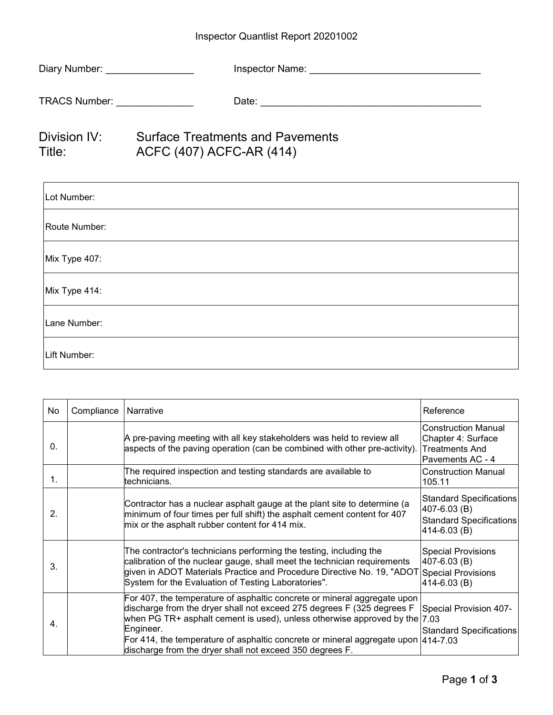## Inspector Quantlist Report 20201002

| Diary Number: __________________ |                                                                     |
|----------------------------------|---------------------------------------------------------------------|
| TRACS Number: ________________   |                                                                     |
| Division IV:<br>Title: The Title | <b>Surface Treatments and Pavements</b><br>ACFC (407) ACFC-AR (414) |
| Lot Number:                      |                                                                     |
| Route Number:                    |                                                                     |
| Mix Type 407:                    |                                                                     |
| Mix Type 414:                    |                                                                     |

Lane Number:

Lift Number:

| No             | Compliance | Narrative                                                                                                                                                                                                                                                                                                                                                                                 | Reference                                                                              |
|----------------|------------|-------------------------------------------------------------------------------------------------------------------------------------------------------------------------------------------------------------------------------------------------------------------------------------------------------------------------------------------------------------------------------------------|----------------------------------------------------------------------------------------|
| $\mathbf{0}$ . |            | A pre-paving meeting with all key stakeholders was held to review all<br>aspects of the paving operation (can be combined with other pre-activity).                                                                                                                                                                                                                                       | <b>Construction Manual</b><br>Chapter 4: Surface<br>Treatments And<br>Pavements AC - 4 |
| 1.             |            | The required inspection and testing standards are available to<br>technicians.                                                                                                                                                                                                                                                                                                            | <b>Construction Manual</b><br>105.11                                                   |
| 2 <sub>1</sub> |            | Contractor has a nuclear asphalt gauge at the plant site to determine (a<br>minimum of four times per full shift) the asphalt cement content for 407<br>mix or the asphalt rubber content for 414 mix.                                                                                                                                                                                    | Standard Specifications<br>407-6.03 (B)<br>Standard Specifications<br>414-6.03 (B)     |
| 3.             |            | The contractor's technicians performing the testing, including the<br>calibration of the nuclear gauge, shall meet the technician requirements<br>given in ADOT Materials Practice and Procedure Directive No. 19, "ADOT<br>System for the Evaluation of Testing Laboratories".                                                                                                           | <b>Special Provisions</b><br>407-6.03 (B)<br><b>Special Provisions</b><br>414-6.03 (B) |
| 4.             |            | For 407, the temperature of asphaltic concrete or mineral aggregate upon<br>discharge from the dryer shall not exceed 275 degrees F (325 degrees F<br>when PG TR+ asphalt cement is used), unless otherwise approved by the $ 7.03 $<br>Engineer.<br>For 414, the temperature of asphaltic concrete or mineral aggregate upon<br>discharge from the dryer shall not exceed 350 degrees F. | Special Provision 407-<br>Standard Specifications<br>414-7.03                          |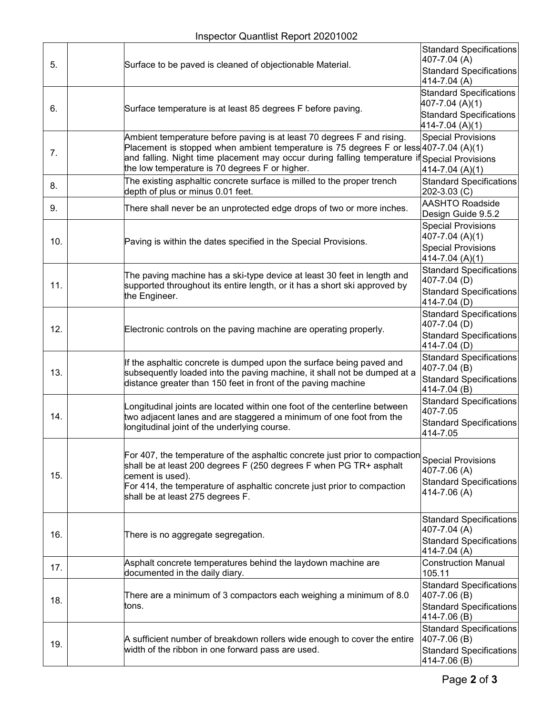| 5.  |  | Surface to be paved is cleaned of objectionable Material.                                                                                                                                                                                        | <b>Standard Specifications</b><br>407-7.04 (A)    |
|-----|--|--------------------------------------------------------------------------------------------------------------------------------------------------------------------------------------------------------------------------------------------------|---------------------------------------------------|
|     |  |                                                                                                                                                                                                                                                  | <b>Standard Specifications</b><br>414-7.04 (A)    |
|     |  |                                                                                                                                                                                                                                                  | <b>Standard Specifications</b>                    |
| 6.  |  | Surface temperature is at least 85 degrees F before paving.                                                                                                                                                                                      | 407-7.04 (A)(1)                                   |
|     |  |                                                                                                                                                                                                                                                  | <b>Standard Specifications</b><br>414-7.04 (A)(1) |
|     |  | Ambient temperature before paving is at least 70 degrees F and rising.                                                                                                                                                                           | <b>Special Provisions</b>                         |
| 7.  |  | Placement is stopped when ambient temperature is 75 degrees F or less 407-7.04 (A)(1)<br>and falling. Night time placement may occur during falling temperature if Special Provisions                                                            |                                                   |
|     |  | the low temperature is 70 degrees F or higher.                                                                                                                                                                                                   | 414-7.04 (A)(1)                                   |
| 8.  |  | The existing asphaltic concrete surface is milled to the proper trench                                                                                                                                                                           | <b>Standard Specifications</b>                    |
|     |  | depth of plus or minus 0.01 feet.                                                                                                                                                                                                                | 202-3.03 (C)                                      |
| 9.  |  | There shall never be an unprotected edge drops of two or more inches.                                                                                                                                                                            | <b>AASHTO Roadside</b><br>Design Guide 9.5.2      |
|     |  | Paving is within the dates specified in the Special Provisions.                                                                                                                                                                                  | <b>Special Provisions</b>                         |
| 10. |  |                                                                                                                                                                                                                                                  | 407-7.04 (A)(1)                                   |
|     |  |                                                                                                                                                                                                                                                  | <b>Special Provisions</b><br>414-7.04 (A)(1)      |
|     |  |                                                                                                                                                                                                                                                  | <b>Standard Specifications</b>                    |
| 11. |  | The paving machine has a ski-type device at least 30 feet in length and<br>supported throughout its entire length, or it has a short ski approved by                                                                                             | 407-7.04 (D)                                      |
|     |  | the Engineer.                                                                                                                                                                                                                                    | <b>Standard Specifications</b><br>414-7.04 (D)    |
|     |  |                                                                                                                                                                                                                                                  | <b>Standard Specifications</b>                    |
| 12. |  | Electronic controls on the paving machine are operating properly.                                                                                                                                                                                | 407-7.04 (D)                                      |
|     |  |                                                                                                                                                                                                                                                  | <b>Standard Specifications</b><br>414-7.04 (D)    |
|     |  | If the asphaltic concrete is dumped upon the surface being paved and<br>subsequently loaded into the paving machine, it shall not be dumped at a<br>distance greater than 150 feet in front of the paving machine                                | <b>Standard Specifications</b>                    |
| 13. |  |                                                                                                                                                                                                                                                  | 407-7.04 (B)<br><b>Standard Specifications</b>    |
|     |  |                                                                                                                                                                                                                                                  | 414-7.04 (B)                                      |
|     |  | ongitudinal joints are located within one foot of the centerline between<br>two adjacent lanes and are staggered a minimum of one foot from the<br>longitudinal joint of the underlying course.                                                  | <b>Standard Specifications</b>                    |
| 14. |  |                                                                                                                                                                                                                                                  | 407-7.05<br><b>Standard Specifications</b>        |
|     |  |                                                                                                                                                                                                                                                  | 414-7.05                                          |
|     |  |                                                                                                                                                                                                                                                  |                                                   |
|     |  | For 407, the temperature of the asphaltic concrete just prior to compaction<br>shall be at least 200 degrees F (250 degrees F when PG TR+ asphalt<br>cement is used).<br>For 414, the temperature of asphaltic concrete just prior to compaction | <b>Special Provisions</b>                         |
| 15. |  |                                                                                                                                                                                                                                                  | 407-7.06 (A)<br><b>Standard Specifications</b>    |
|     |  |                                                                                                                                                                                                                                                  | 414-7.06 (A)                                      |
|     |  | shall be at least 275 degrees F.                                                                                                                                                                                                                 |                                                   |
|     |  |                                                                                                                                                                                                                                                  | <b>Standard Specifications</b>                    |
| 16. |  | There is no aggregate segregation.                                                                                                                                                                                                               | 407-7.04 (A)                                      |
|     |  |                                                                                                                                                                                                                                                  | <b>Standard Specifications</b><br>414-7.04 (A)    |
| 17. |  | Asphalt concrete temperatures behind the laydown machine are                                                                                                                                                                                     | <b>Construction Manual</b>                        |
|     |  | documented in the daily diary.                                                                                                                                                                                                                   | 105.11                                            |
|     |  | There are a minimum of 3 compactors each weighing a minimum of 8.0<br>tons.                                                                                                                                                                      | <b>Standard Specifications</b><br>407-7.06 (B)    |
| 18. |  |                                                                                                                                                                                                                                                  | <b>Standard Specifications</b>                    |
|     |  |                                                                                                                                                                                                                                                  | 414-7.06 (B)<br><b>Standard Specifications</b>    |
| 19. |  | A sufficient number of breakdown rollers wide enough to cover the entire<br>width of the ribbon in one forward pass are used.                                                                                                                    | 407-7.06 (B)                                      |
|     |  |                                                                                                                                                                                                                                                  | <b>Standard Specifications</b>                    |
|     |  |                                                                                                                                                                                                                                                  | 414-7.06 (B)                                      |